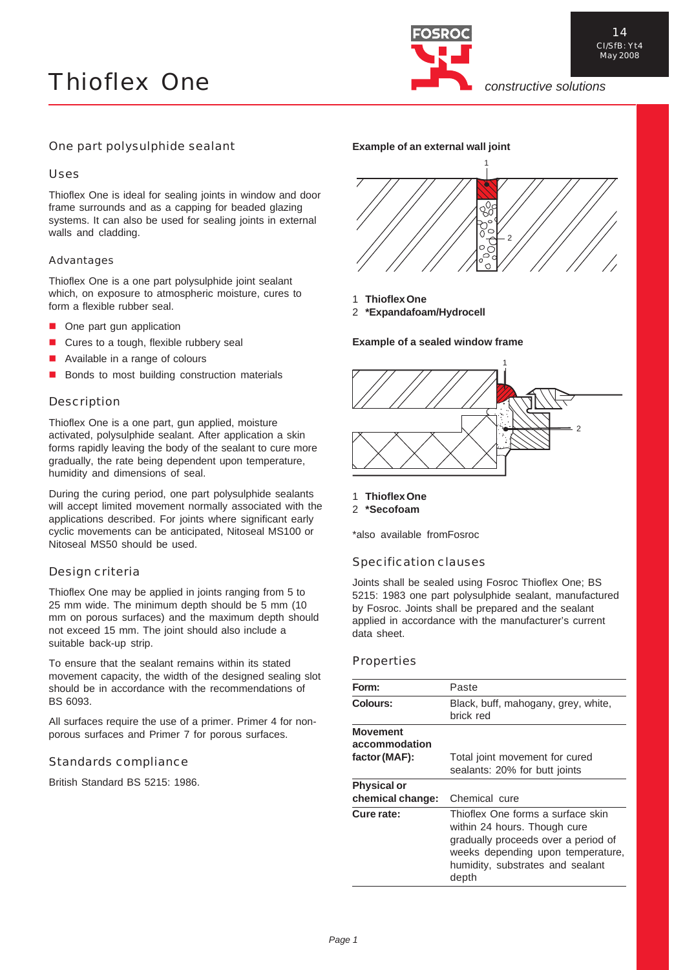

# One part polysulphide sealant

# Uses

Thioflex One is ideal for sealing joints in window and door frame surrounds and as a capping for beaded glazing systems. It can also be used for sealing joints in external walls and cladding.

# Advantages

Thioflex One is a one part polysulphide joint sealant which, on exposure to atmospheric moisture, cures to form a flexible rubber seal.

- One part gun application
- Cures to a tough, flexible rubbery seal
- Available in a range of colours
- Bonds to most building construction materials

# Description

Thioflex One is a one part, gun applied, moisture activated, polysulphide sealant. After application a skin forms rapidly leaving the body of the sealant to cure more gradually, the rate being dependent upon temperature, humidity and dimensions of seal.

During the curing period, one part polysulphide sealants will accept limited movement normally associated with the applications described. For joints where significant early cyclic movements can be anticipated, Nitoseal MS100 or Nitoseal MS50 should be used.

# Design criteria

Thioflex One may be applied in joints ranging from 5 to 25 mm wide. The minimum depth should be 5 mm (10 mm on porous surfaces) and the maximum depth should not exceed 15 mm. The joint should also include a suitable back-up strip.

To ensure that the sealant remains within its stated movement capacity, the width of the designed sealing slot should be in accordance with the recommendations of BS 6093.

All surfaces require the use of a primer. Primer 4 for nonporous surfaces and Primer 7 for porous surfaces.

# Standards compliance

British Standard BS 5215: 1986.





- 1 **Thioflex One**
- 2 **\*Expandafoam/Hydrocell**

**Example of a sealed window frame**



- 1 **Thioflex One**
- 2 **\*Secofoam**

\*also available fromFosroc

# Specification clauses

Joints shall be sealed using Fosroc Thioflex One; BS 5215: 1983 one part polysulphide sealant, manufactured by Fosroc. Joints shall be prepared and the sealant applied in accordance with the manufacturer's current data sheet.

### **Properties**

| Form:                            | Paste                                                                                                                                                                                      |  |  |
|----------------------------------|--------------------------------------------------------------------------------------------------------------------------------------------------------------------------------------------|--|--|
| Colours:                         | Black, buff, mahogany, grey, white,<br>brick red                                                                                                                                           |  |  |
| <b>Movement</b><br>accommodation |                                                                                                                                                                                            |  |  |
| factor (MAF):                    | Total joint movement for cured<br>sealants: 20% for butt joints                                                                                                                            |  |  |
| <b>Physical or</b>               |                                                                                                                                                                                            |  |  |
| chemical change:                 | Chemical cure                                                                                                                                                                              |  |  |
| Cure rate:                       | Thioflex One forms a surface skin<br>within 24 hours. Though cure<br>gradually proceeds over a period of<br>weeks depending upon temperature,<br>humidity, substrates and sealant<br>depth |  |  |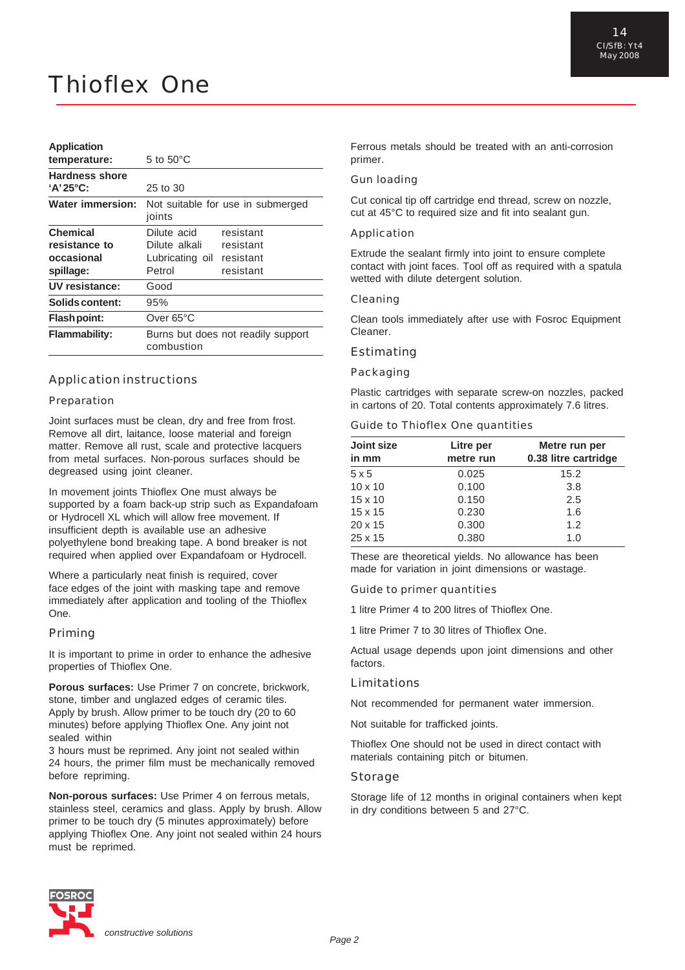# **Application**

| temperature:                         | 5 to $50^{\circ}$ C                              |           |  |
|--------------------------------------|--------------------------------------------------|-----------|--|
| Hardness shore<br>$'A'25^{\circ}C$ : | 25 to 30                                         |           |  |
| <b>Water immersion:</b>              | Not suitable for use in submerged<br>joints      |           |  |
| <b>Chemical</b>                      | Dilute acid                                      | resistant |  |
| resistance to                        | Dilute alkali                                    | resistant |  |
| occasional                           | Lubricating oil resistant                        |           |  |
| spillage:                            | Petrol                                           | resistant |  |
| UV resistance:                       | Good                                             |           |  |
| Solids content:                      | 95%                                              |           |  |
| Flash point:                         | Over 65°C                                        |           |  |
| <b>Flammability:</b>                 | Burns but does not readily support<br>combustion |           |  |

### Application instructions

### Preparation

Joint surfaces must be clean, dry and free from frost. Remove all dirt, laitance, loose material and foreign matter. Remove all rust, scale and protective lacquers from metal surfaces. Non-porous surfaces should be degreased using joint cleaner.

In movement joints Thioflex One must always be supported by a foam back-up strip such as Expandafoam or Hydrocell XL which will allow free movement. If insufficient depth is available use an adhesive polyethylene bond breaking tape. A bond breaker is not required when applied over Expandafoam or Hydrocell.

Where a particularly neat finish is required, cover face edges of the joint with masking tape and remove immediately after application and tooling of the Thioflex One.

### Priming

It is important to prime in order to enhance the adhesive properties of Thioflex One.

**Porous surfaces:** Use Primer 7 on concrete, brickwork, stone, timber and unglazed edges of ceramic tiles. Apply by brush. Allow primer to be touch dry (20 to 60 minutes) before applying Thioflex One. Any joint not sealed within

3 hours must be reprimed. Any joint not sealed within 24 hours, the primer film must be mechanically removed before repriming.

**Non-porous surfaces:** Use Primer 4 on ferrous metals, stainless steel, ceramics and glass. Apply by brush. Allow primer to be touch dry (5 minutes approximately) before applying Thioflex One. Any joint not sealed within 24 hours must be reprimed.

Ferrous metals should be treated with an anti-corrosion primer.

#### Gun loading

Cut conical tip off cartridge end thread, screw on nozzle, cut at 45°C to required size and fit into sealant gun.

#### Application

Extrude the sealant firmly into joint to ensure complete contact with joint faces. Tool off as required with a spatula wetted with dilute detergent solution.

### Cleaning

Clean tools immediately after use with Fosroc Equipment Cleaner.

### Estimating

### Packaging

Plastic cartridges with separate screw-on nozzles, packed in cartons of 20. Total contents approximately 7.6 litres.

### Guide to Thioflex One quantities

| Joint size<br>in mm | Litre per<br>metre run | Metre run per<br>0.38 litre cartridge |
|---------------------|------------------------|---------------------------------------|
| 5x5                 | 0.025                  | 15.2                                  |
| $10 \times 10$      | 0.100                  | 3.8                                   |
| $15 \times 10$      | 0.150                  | 2.5                                   |
| $15 \times 15$      | 0.230                  | 1.6                                   |
| $20 \times 15$      | 0.300                  | 1.2                                   |
| 25 x 15             | 0.380                  | 1.0                                   |

These are theoretical yields. No allowance has been made for variation in joint dimensions or wastage.

#### Guide to primer quantities

1 litre Primer 4 to 200 litres of Thioflex One.

1 litre Primer 7 to 30 litres of Thioflex One.

Actual usage depends upon joint dimensions and other factors.

### Limitations

Not recommended for permanent water immersion.

Not suitable for trafficked joints.

Thioflex One should not be used in direct contact with materials containing pitch or bitumen.

### Storage

Storage life of 12 months in original containers when kept in dry conditions between 5 and 27°C.